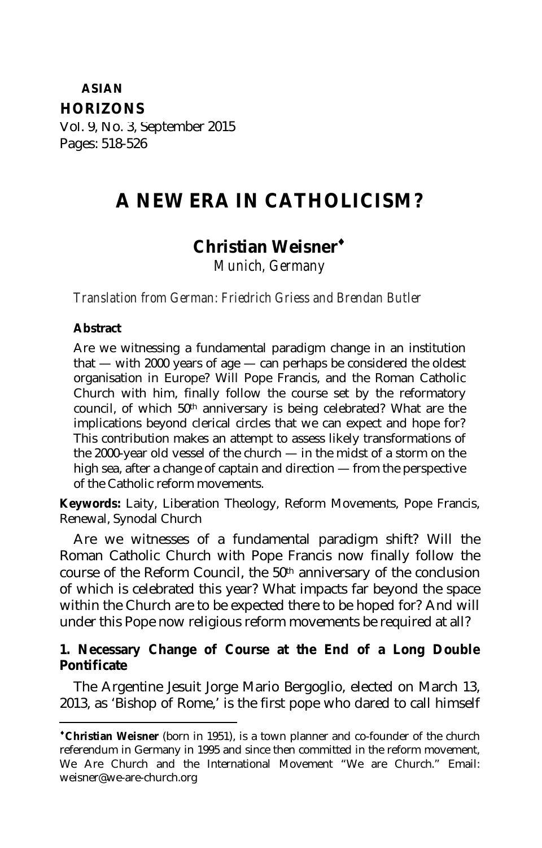# **ASIAN HORIZONS**

Vol. 9, No. 3, September 2015 Pages: 518-526

# **A NEW ERA IN CATHOLICISM?**

# **Christian Weisner**

*Munich, Germany*

*Translation from German: Friedrich Griess and Brendan Butler*

#### **Abstract**

 $\overline{a}$ 

Are we witnessing a fundamental paradigm change in an institution that — with 2000 years of age — can perhaps be considered the oldest organisation in Europe? Will Pope Francis, and the Roman Catholic Church with him, finally follow the course set by the reformatory council, of which 50th anniversary is being celebrated? What are the implications beyond clerical circles that we can expect and hope for? This contribution makes an attempt to assess likely transformations of the 2000-year old vessel of the church — in the midst of a storm on the high sea, after a change of captain and direction — from the perspective of the Catholic reform movements.

**Keywords:** Laity, Liberation Theology, Reform Movements, Pope Francis, Renewal, Synodal Church

Are we witnesses of a fundamental paradigm shift? Will the Roman Catholic Church with Pope Francis now finally follow the course of the Reform Council, the 50th anniversary of the conclusion of which is celebrated this year? What impacts far beyond the space within the Church are to be expected there to be hoped for? And will under this Pope now religious reform movements be required at all?

#### **1. Necessary Change of Course at the End of a Long Double Pontificate**

The Argentine Jesuit Jorge Mario Bergoglio, elected on March 13, 2013, as 'Bishop of Rome,' is the first pope who dared to call himself

**Christian Weisner** (born in 1951), is a town planner and co-founder of the church referendum in Germany in 1995 and since then committed in the reform movement, We Are Church and the International Movement "We are Church." Email: weisner@we-are-church.org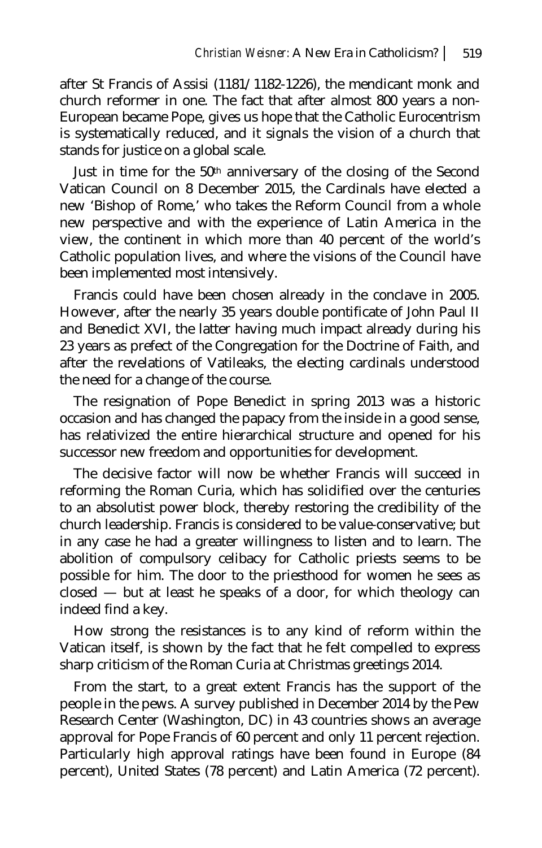after St Francis of Assisi (1181/1182-1226), the mendicant monk and church reformer in one. The fact that after almost 800 years a non-European became Pope, gives us hope that the Catholic Eurocentrism is systematically reduced, and it signals the vision of a church that stands for justice on a global scale.

Just in time for the 50th anniversary of the closing of the Second Vatican Council on 8 December 2015, the Cardinals have elected a new 'Bishop of Rome,' who takes the Reform Council from a whole new perspective and with the experience of Latin America in the view, the continent in which more than 40 percent of the world's Catholic population lives, and where the visions of the Council have been implemented most intensively.

Francis could have been chosen already in the conclave in 2005. However, after the nearly 35 years double pontificate of John Paul II and Benedict XVI, the latter having much impact already during his 23 years as prefect of the Congregation for the Doctrine of Faith, and after the revelations of Vatileaks, the electing cardinals understood the need for a change of the course.

The resignation of Pope Benedict in spring 2013 was a historic occasion and has changed the papacy from the inside in a good sense, has relativized the entire hierarchical structure and opened for his successor new freedom and opportunities for development.

The decisive factor will now be whether Francis will succeed in reforming the Roman Curia, which has solidified over the centuries to an absolutist power block, thereby restoring the credibility of the church leadership. Francis is considered to be value-conservative; but in any case he had a greater willingness to listen and to learn. The abolition of compulsory celibacy for Catholic priests seems to be possible for him. The door to the priesthood for women he sees as closed — but at least he speaks of a door, for which theology can indeed find a key.

How strong the resistances is to any kind of reform within the Vatican itself, is shown by the fact that he felt compelled to express sharp criticism of the Roman Curia at Christmas greetings 2014.

From the start, to a great extent Francis has the support of the people in the pews. A survey published in December 2014 by the Pew Research Center (Washington, DC) in 43 countries shows an average approval for Pope Francis of 60 percent and only 11 percent rejection. Particularly high approval ratings have been found in Europe (84 percent), United States (78 percent) and Latin America (72 percent).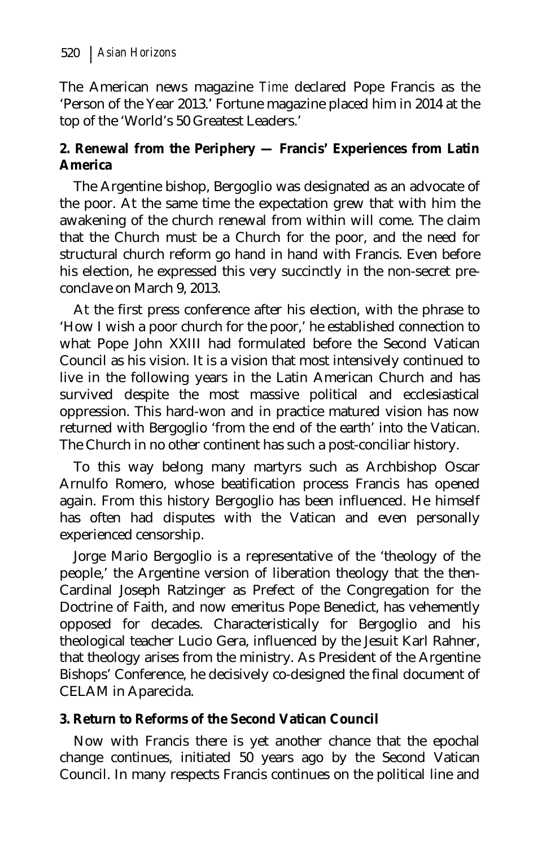The American news magazine *Time* declared Pope Francis as the 'Person of the Year 2013.' Fortune magazine placed him in 2014 at the top of the 'World's 50 Greatest Leaders.'

#### **2. Renewal from the Periphery — Francis' Experiences from Latin America**

The Argentine bishop, Bergoglio was designated as an advocate of the poor. At the same time the expectation grew that with him the awakening of the church renewal from within will come. The claim that the Church must be a Church for the poor, and the need for structural church reform go hand in hand with Francis. Even before his election, he expressed this very succinctly in the non-secret preconclave on March 9, 2013.

At the first press conference after his election, with the phrase to 'How I wish a poor church for the poor,' he established connection to what Pope John XXIII had formulated before the Second Vatican Council as his vision. It is a vision that most intensively continued to live in the following years in the Latin American Church and has survived despite the most massive political and ecclesiastical oppression. This hard-won and in practice matured vision has now returned with Bergoglio 'from the end of the earth' into the Vatican. The Church in no other continent has such a post-conciliar history.

To this way belong many martyrs such as Archbishop Oscar Arnulfo Romero, whose beatification process Francis has opened again. From this history Bergoglio has been influenced. He himself has often had disputes with the Vatican and even personally experienced censorship.

Jorge Mario Bergoglio is a representative of the 'theology of the people,' the Argentine version of liberation theology that the then-Cardinal Joseph Ratzinger as Prefect of the Congregation for the Doctrine of Faith, and now emeritus Pope Benedict, has vehemently opposed for decades. Characteristically for Bergoglio and his theological teacher Lucio Gera, influenced by the Jesuit Karl Rahner, that theology arises from the ministry. As President of the Argentine Bishops' Conference, he decisively co-designed the final document of CELAM in Aparecida.

#### **3. Return to Reforms of the Second Vatican Council**

Now with Francis there is yet another chance that the epochal change continues, initiated 50 years ago by the Second Vatican Council. In many respects Francis continues on the political line and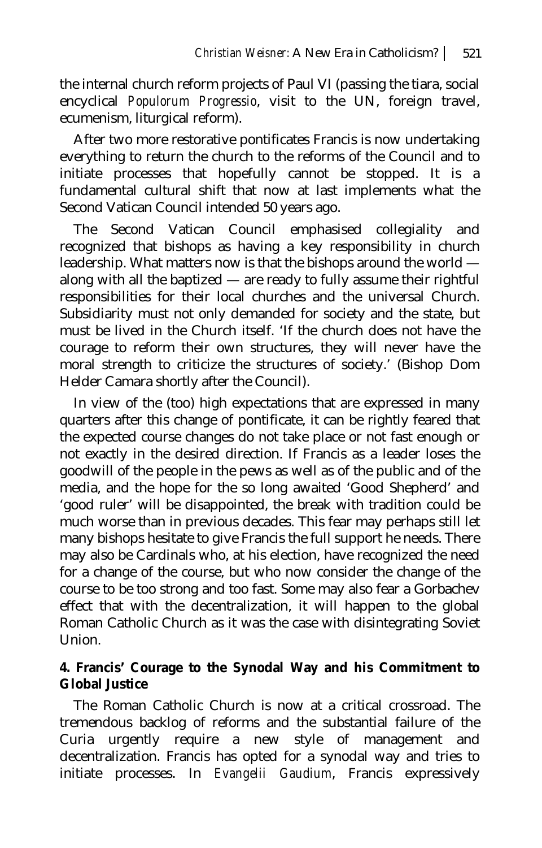the internal church reform projects of Paul VI (passing the tiara, social encyclical *Populorum Progressio*, visit to the UN, foreign travel, ecumenism, liturgical reform).

After two more restorative pontificates Francis is now undertaking everything to return the church to the reforms of the Council and to initiate processes that hopefully cannot be stopped. It is a fundamental cultural shift that now at last implements what the Second Vatican Council intended 50 years ago.

The Second Vatican Council emphasised collegiality and recognized that bishops as having a key responsibility in church leadership. What matters now is that the bishops around the world along with all the baptized — are ready to fully assume their rightful responsibilities for their local churches and the universal Church. Subsidiarity must not only demanded for society and the state, but must be lived in the Church itself. 'If the church does not have the courage to reform their own structures, they will never have the moral strength to criticize the structures of society.' (Bishop Dom Helder Camara shortly after the Council).

In view of the (too) high expectations that are expressed in many quarters after this change of pontificate, it can be rightly feared that the expected course changes do not take place or not fast enough or not exactly in the desired direction. If Francis as a leader loses the goodwill of the people in the pews as well as of the public and of the media, and the hope for the so long awaited 'Good Shepherd' and 'good ruler' will be disappointed, the break with tradition could be much worse than in previous decades. This fear may perhaps still let many bishops hesitate to give Francis the full support he needs. There may also be Cardinals who, at his election, have recognized the need for a change of the course, but who now consider the change of the course to be too strong and too fast. Some may also fear a Gorbachev effect that with the decentralization, it will happen to the global Roman Catholic Church as it was the case with disintegrating Soviet Union.

### **4. Francis' Courage to the Synodal Way and his Commitment to Global Justice**

The Roman Catholic Church is now at a critical crossroad. The tremendous backlog of reforms and the substantial failure of the Curia urgently require a new style of management and decentralization. Francis has opted for a synodal way and tries to initiate processes. In *Evangelii Gaudium*, Francis expressively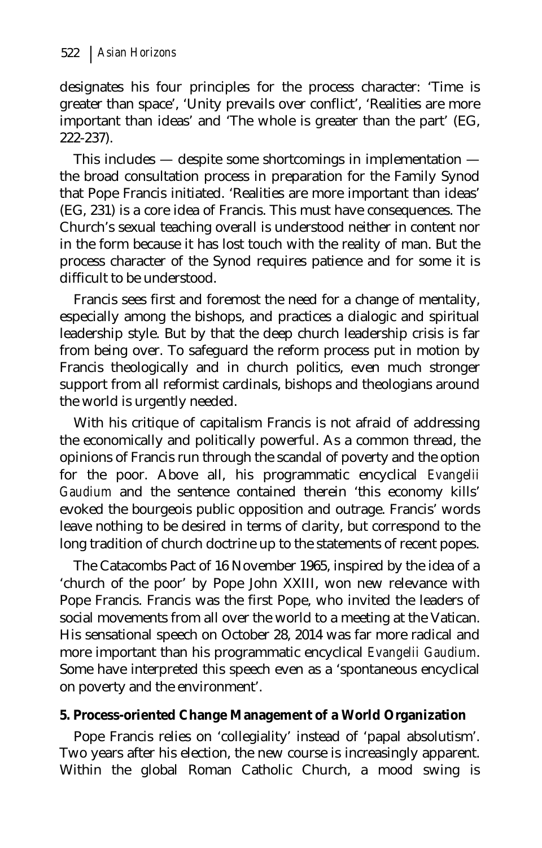designates his four principles for the process character: 'Time is greater than space', 'Unity prevails over conflict', 'Realities are more important than ideas' and 'The whole is greater than the part' (EG, 222-237).

This includes — despite some shortcomings in implementation the broad consultation process in preparation for the Family Synod that Pope Francis initiated. 'Realities are more important than ideas' (EG, 231) is a core idea of Francis. This must have consequences. The Church's sexual teaching overall is understood neither in content nor in the form because it has lost touch with the reality of man. But the process character of the Synod requires patience and for some it is difficult to be understood.

Francis sees first and foremost the need for a change of mentality, especially among the bishops, and practices a dialogic and spiritual leadership style. But by that the deep church leadership crisis is far from being over. To safeguard the reform process put in motion by Francis theologically and in church politics, even much stronger support from all reformist cardinals, bishops and theologians around the world is urgently needed.

With his critique of capitalism Francis is not afraid of addressing the economically and politically powerful. As a common thread, the opinions of Francis run through the scandal of poverty and the option for the poor. Above all, his programmatic encyclical *Evangelii Gaudium* and the sentence contained therein 'this economy kills' evoked the bourgeois public opposition and outrage. Francis' words leave nothing to be desired in terms of clarity, but correspond to the long tradition of church doctrine up to the statements of recent popes.

The Catacombs Pact of 16 November 1965, inspired by the idea of a 'church of the poor' by Pope John XXIII, won new relevance with Pope Francis. Francis was the first Pope, who invited the leaders of social movements from all over the world to a meeting at the Vatican. His sensational speech on October 28, 2014 was far more radical and more important than his programmatic encyclical *Evangelii Gaudium*. Some have interpreted this speech even as a 'spontaneous encyclical on poverty and the environment'.

#### **5. Process-oriented Change Management of a World Organization**

Pope Francis relies on 'collegiality' instead of 'papal absolutism'. Two years after his election, the new course is increasingly apparent. Within the global Roman Catholic Church, a mood swing is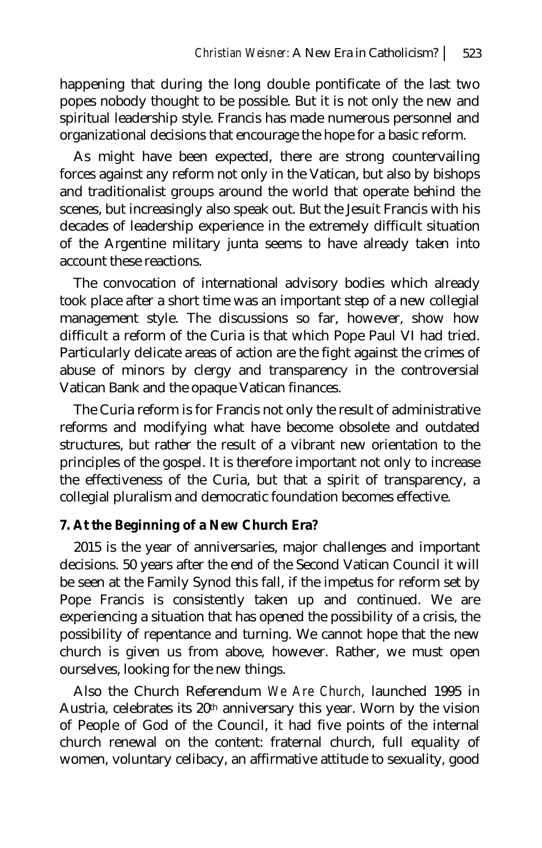happening that during the long double pontificate of the last two popes nobody thought to be possible. But it is not only the new and spiritual leadership style. Francis has made numerous personnel and organizational decisions that encourage the hope for a basic reform.

As might have been expected, there are strong countervailing forces against any reform not only in the Vatican, but also by bishops and traditionalist groups around the world that operate behind the scenes, but increasingly also speak out. But the Jesuit Francis with his decades of leadership experience in the extremely difficult situation of the Argentine military junta seems to have already taken into account these reactions.

The convocation of international advisory bodies which already took place after a short time was an important step of a new collegial management style. The discussions so far, however, show how difficult a reform of the Curia is that which Pope Paul VI had tried. Particularly delicate areas of action are the fight against the crimes of abuse of minors by clergy and transparency in the controversial Vatican Bank and the opaque Vatican finances.

The Curia reform is for Francis not only the result of administrative reforms and modifying what have become obsolete and outdated structures, but rather the result of a vibrant new orientation to the principles of the gospel. It is therefore important not only to increase the effectiveness of the Curia, but that a spirit of transparency, a collegial pluralism and democratic foundation becomes effective.

#### **7. At the Beginning of a New Church Era?**

2015 is the year of anniversaries, major challenges and important decisions. 50 years after the end of the Second Vatican Council it will be seen at the Family Synod this fall, if the impetus for reform set by Pope Francis is consistently taken up and continued. We are experiencing a situation that has opened the possibility of a crisis, the possibility of repentance and turning. We cannot hope that the new church is given us from above, however. Rather, we must open ourselves, looking for the new things.

Also the Church Referendum *We Are Church*, launched 1995 in Austria, celebrates its 20th anniversary this year. Worn by the vision of People of God of the Council, it had five points of the internal church renewal on the content: fraternal church, full equality of women, voluntary celibacy, an affirmative attitude to sexuality, good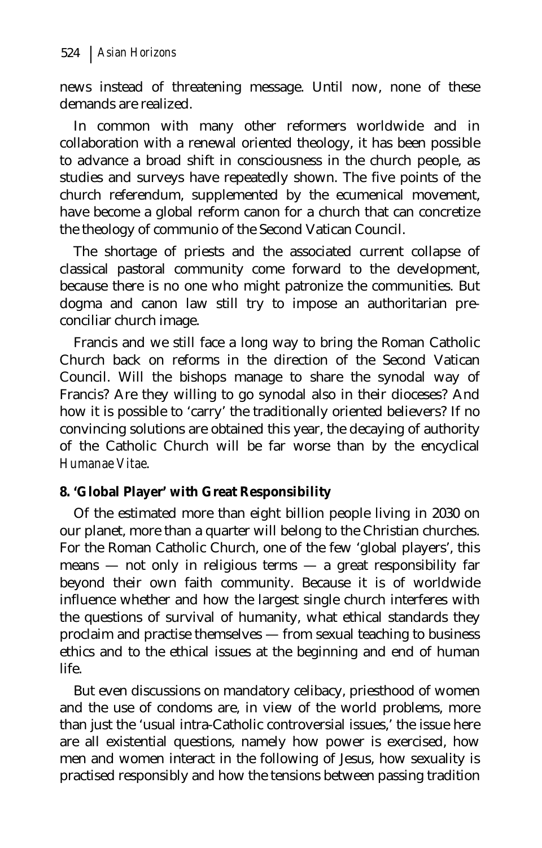news instead of threatening message. Until now, none of these demands are realized.

In common with many other reformers worldwide and in collaboration with a renewal oriented theology, it has been possible to advance a broad shift in consciousness in the church people, as studies and surveys have repeatedly shown. The five points of the church referendum, supplemented by the ecumenical movement, have become a global reform canon for a church that can concretize the theology of communio of the Second Vatican Council.

The shortage of priests and the associated current collapse of classical pastoral community come forward to the development, because there is no one who might patronize the communities. But dogma and canon law still try to impose an authoritarian preconciliar church image.

Francis and we still face a long way to bring the Roman Catholic Church back on reforms in the direction of the Second Vatican Council. Will the bishops manage to share the synodal way of Francis? Are they willing to go synodal also in their dioceses? And how it is possible to 'carry' the traditionally oriented believers? If no convincing solutions are obtained this year, the decaying of authority of the Catholic Church will be far worse than by the encyclical *Humanae Vitae*.

## **8. 'Global Player' with Great Responsibility**

Of the estimated more than eight billion people living in 2030 on our planet, more than a quarter will belong to the Christian churches. For the Roman Catholic Church, one of the few 'global players', this means — not only in religious terms — a great responsibility far beyond their own faith community. Because it is of worldwide influence whether and how the largest single church interferes with the questions of survival of humanity, what ethical standards they proclaim and practise themselves — from sexual teaching to business ethics and to the ethical issues at the beginning and end of human life.

But even discussions on mandatory celibacy, priesthood of women and the use of condoms are, in view of the world problems, more than just the 'usual intra-Catholic controversial issues,' the issue here are all existential questions, namely how power is exercised, how men and women interact in the following of Jesus, how sexuality is practised responsibly and how the tensions between passing tradition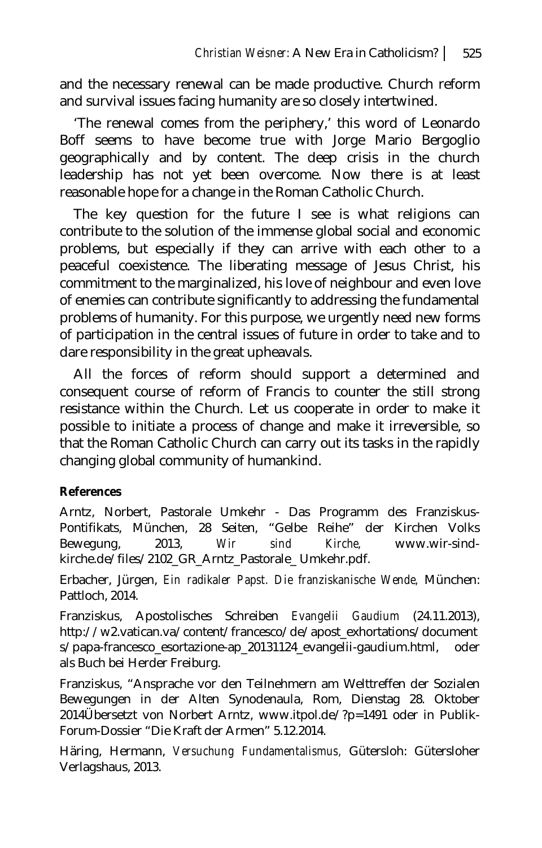and the necessary renewal can be made productive. Church reform and survival issues facing humanity are so closely intertwined.

'The renewal comes from the periphery,' this word of Leonardo Boff seems to have become true with Jorge Mario Bergoglio geographically and by content. The deep crisis in the church leadership has not yet been overcome. Now there is at least reasonable hope for a change in the Roman Catholic Church.

The key question for the future I see is what religions can contribute to the solution of the immense global social and economic problems, but especially if they can arrive with each other to a peaceful coexistence. The liberating message of Jesus Christ, his commitment to the marginalized, his love of neighbour and even love of enemies can contribute significantly to addressing the fundamental problems of humanity. For this purpose, we urgently need new forms of participation in the central issues of future in order to take and to dare responsibility in the great upheavals.

All the forces of reform should support a determined and consequent course of reform of Francis to counter the still strong resistance within the Church. Let us cooperate in order to make it possible to initiate a process of change and make it irreversible, so that the Roman Catholic Church can carry out its tasks in the rapidly changing global community of humankind.

#### **References**

Arntz, Norbert, Pastorale Umkehr - Das Programm des Franziskus-Pontifikats, München, 28 Seiten, "Gelbe Reihe" der Kirchen Volks Bewegung, 2013, *Wir sind Kirche,* www.wir-sindkirche.de/files/2102\_GR\_Arntz\_Pastorale\_ Umkehr.pdf.

Erbacher, Jürgen, *Ein radikaler Papst. Die franziskanische Wende,* München: Pattloch, 2014.

Franziskus, Apostolisches Schreiben *Evangelii Gaudium* (24.11.2013), http://w2.vatican.va/content/francesco/de/apost\_exhortations/document s/papa-francesco\_esortazione-ap\_20131124\_evangelii-gaudium.html, oder als Buch bei Herder Freiburg.

Franziskus, "Ansprache vor den Teilnehmern am Welttreffen der Sozialen Bewegungen in der Alten Synodenaula, Rom, Dienstag 28. Oktober 2014Übersetzt von Norbert Arntz, www.itpol.de/?p=1491 oder in Publik-Forum-Dossier "Die Kraft der Armen" 5.12.2014.

Häring, Hermann, *Versuchung Fundamentalismus,* Gütersloh: Gütersloher Verlagshaus, 2013.